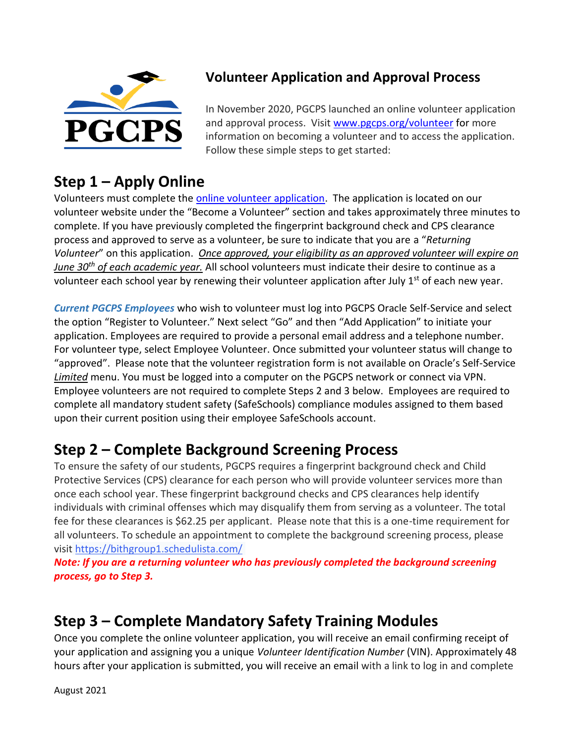

#### **Volunteer Application and Approval Process**

In November 2020, PGCPS launched an online volunteer application and approval process. Visit [www.pgcps.org/volunteer](http://www.pgcps.org/volunteer) for more information on becoming a volunteer and to access the application. Follow these simple steps to get started:

### **Step 1 – Apply Online**

Volunteers must complete th[e online volunteer application.](https://erp.pgcps.org/OA_HTML/OA.jsp?page=/pgcps/oracle/apps/per/sms/webui/CreateVolunteerRegisterWelcomePG) The application is located on our volunteer website under the "Become a Volunteer" section and takes approximately three minutes to complete. If you have previously completed the fingerprint background check and CPS clearance process and approved to serve as a volunteer, be sure to indicate that you are a "*Returning Volunteer*" on this application. *Once approved, your eligibility as an approved volunteer will expire on June 30th of each academic year.* All school volunteers must indicate their desire to continue as a volunteer each school year by renewing their volunteer application after July 1<sup>st</sup> of each new year.

*Current PGCPS Employees* who wish to volunteer must log into PGCPS Oracle Self-Service and select the option "Register to Volunteer." Next select "Go" and then "Add Application" to initiate your application. Employees are required to provide a personal email address and a telephone number. For volunteer type, select Employee Volunteer. Once submitted your volunteer status will change to "approved". Please note that the volunteer registration form is not available on Oracle's Self-Service *Limited* menu. You must be logged into a computer on the PGCPS network or connect via VPN. Employee volunteers are not required to complete Steps 2 and 3 below. Employees are required to complete all mandatory student safety (SafeSchools) compliance modules assigned to them based upon their current position using their employee SafeSchools account.

# **Step 2 – Complete Background Screening Process**

To ensure the safety of our students, PGCPS requires a fingerprint background check and Child Protective Services (CPS) clearance for each person who will provide volunteer services more than once each school year. These fingerprint background checks and CPS clearances help identify individuals with criminal offenses which may disqualify them from serving as a volunteer. The total fee for these clearances is \$62.25 per applicant. Please note that this is a one-time requirement for all volunteers. To schedule an appointment to complete the background screening process, please visit [https://bithgroup1.schedulista.com/](http://bithgroup1.schedulista.com/)

*Note: If you are a returning volunteer who has previously completed the background screening process, go to Step 3.*

# **Step 3 – Complete Mandatory Safety Training Modules**

Once you complete the online volunteer application, you will receive an email confirming receipt of your application and assigning you a unique *Volunteer Identification Number* (VIN). Approximately 48 hours after your application is submitted, you will receive an email with a link to log in and complete